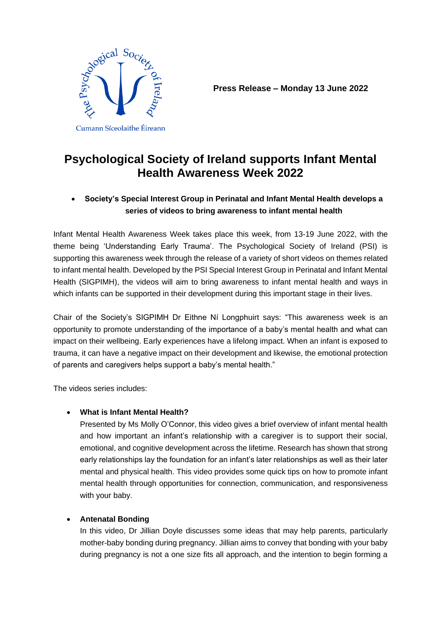

**Press Release – Monday 13 June 2022**

# **Psychological Society of Ireland supports Infant Mental Health Awareness Week 2022**

# • **Society's Special Interest Group in Perinatal and Infant Mental Health develops a series of videos to bring awareness to infant mental health**

Infant Mental Health Awareness Week takes place this week, from 13-19 June 2022, with the theme being 'Understanding Early Trauma'. The Psychological Society of Ireland (PSI) is supporting this awareness week through the release of a variety of short videos on themes related to infant mental health. Developed by the PSI Special Interest Group in Perinatal and Infant Mental Health (SIGPIMH), the videos will aim to bring awareness to infant mental health and ways in which infants can be supported in their development during this important stage in their lives.

Chair of the Society's SIGPIMH Dr Eithne Ní Longphuirt says: "This awareness week is an opportunity to promote understanding of the importance of a baby's mental health and what can impact on their wellbeing. Early experiences have a lifelong impact. When an infant is exposed to trauma, it can have a negative impact on their development and likewise, the emotional protection of parents and caregivers helps support a baby's mental health."

The videos series includes:

## • **What is Infant Mental Health?**

Presented by Ms Molly O'Connor, this video gives a brief overview of infant mental health and how important an infant's relationship with a caregiver is to support their social, emotional, and cognitive development across the lifetime. Research has shown that strong early relationships lay the foundation for an infant's later relationships as well as their later mental and physical health. This video provides some quick tips on how to promote infant mental health through opportunities for connection, communication, and responsiveness with your baby.

## • **Antenatal Bonding**

In this video, Dr Jillian Doyle discusses some ideas that may help parents, particularly mother-baby bonding during pregnancy. Jillian aims to convey that bonding with your baby during pregnancy is not a one size fits all approach, and the intention to begin forming a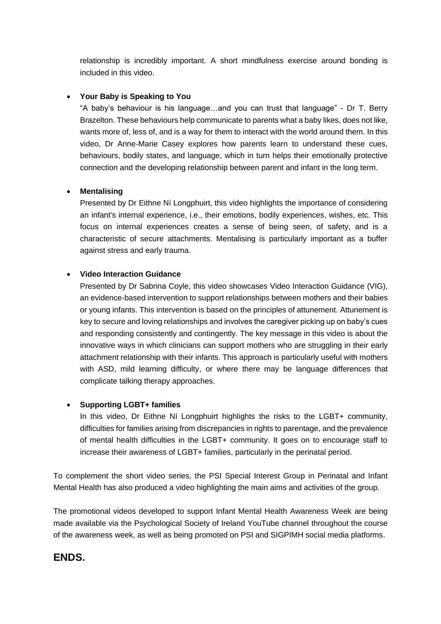relationship is incredibly important. A short mindfulness exercise around bonding is included in this video.

#### • **Your Baby is Speaking to You**

"A baby's behaviour is his language…and you can trust that language" - Dr T. Berry Brazelton. These behaviours help communicate to parents what a baby likes, does not like, wants more of, less of, and is a way for them to interact with the world around them. In this video, Dr Anne-Marie Casey explores how parents learn to understand these cues, behaviours, bodily states, and language, which in turn helps their emotionally protective connection and the developing relationship between parent and infant in the long term.

#### • **Mentalising**

Presented by Dr Eithne Ní Longphuirt, this video highlights the importance of considering an infant's internal experience, i.e., their emotions, bodily experiences, wishes, etc. This focus on internal experiences creates a sense of being seen, of safety, and is a characteristic of secure attachments. Mentalising is particularly important as a buffer against stress and early trauma.

#### • **Video Interaction Guidance**

Presented by Dr Sabrina Coyle, this video showcases Video Interaction Guidance (VIG), an evidence-based intervention to support relationships between mothers and their babies or young infants. This intervention is based on the principles of attunement. Attunement is key to secure and loving relationships and involves the caregiver picking up on baby's cues and responding consistently and contingently. The key message in this video is about the innovative ways in which clinicians can support mothers who are struggling in their early attachment relationship with their infants. This approach is particularly useful with mothers with ASD, mild learning difficulty, or where there may be language differences that complicate talking therapy approaches.

## • **Supporting LGBT+ families**

In this video, Dr Eithne Ní Longphuirt highlights the risks to the LGBT+ community, difficulties for families arising from discrepancies in rights to parentage, and the prevalence of mental health difficulties in the LGBT+ community. It goes on to encourage staff to increase their awareness of LGBT+ families, particularly in the perinatal period.

To complement the short video series, the PSI Special Interest Group in Perinatal and Infant Mental Health has also produced a video highlighting the main aims and activities of the group.

The promotional videos developed to support Infant Mental Health Awareness Week are being made available via the Psychological Society of Ireland YouTube channel throughout the course of the awareness week, as well as being promoted on PSI and SIGPIMH social media platforms.

# **ENDS.**